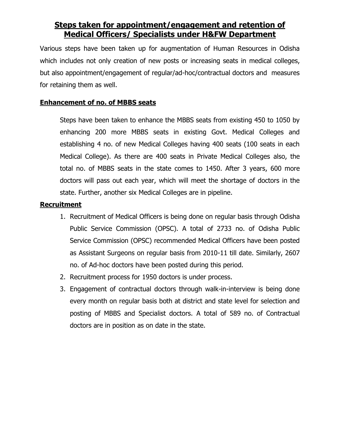# **Steps taken for appointment/engagement and retention of Medical Officers/ Specialists under H&FW Department**

Various steps have been taken up for augmentation of Human Resources in Odisha which includes not only creation of new posts or increasing seats in medical colleges, but also appointment/engagement of regular/ad-hoc/contractual doctors and measures for retaining them as well.

## **Enhancement of no. of MBBS seats**

Steps have been taken to enhance the MBBS seats from existing 450 to 1050 by enhancing 200 more MBBS seats in existing Govt. Medical Colleges and establishing 4 no. of new Medical Colleges having 400 seats (100 seats in each Medical College). As there are 400 seats in Private Medical Colleges also, the total no. of MBBS seats in the state comes to 1450. After 3 years, 600 more doctors will pass out each year, which will meet the shortage of doctors in the state. Further, another six Medical Colleges are in pipeline.

### **Recruitment**

- 1. Recruitment of Medical Officers is being done on regular basis through Odisha Public Service Commission (OPSC). A total of 2733 no. of Odisha Public Service Commission (OPSC) recommended Medical Officers have been posted as Assistant Surgeons on regular basis from 2010-11 till date. Similarly, 2607 no. of Ad-hoc doctors have been posted during this period.
- 2. Recruitment process for 1950 doctors is under process.
- 3. Engagement of contractual doctors through walk-in-interview is being done every month on regular basis both at district and state level for selection and posting of MBBS and Specialist doctors. A total of 589 no. of Contractual doctors are in position as on date in the state.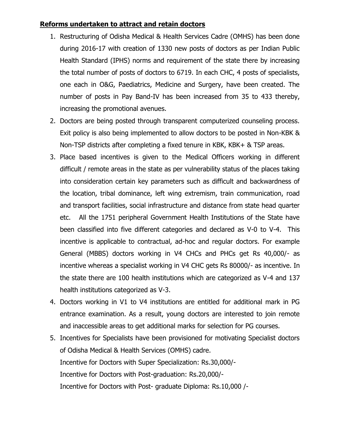### **Reforms undertaken to attract and retain doctors**

- 1. Restructuring of Odisha Medical & Health Services Cadre (OMHS) has been done during 2016-17 with creation of 1330 new posts of doctors as per Indian Public Health Standard (IPHS) norms and requirement of the state there by increasing the total number of posts of doctors to 6719. In each CHC, 4 posts of specialists, one each in O&G, Paediatrics, Medicine and Surgery, have been created. The number of posts in Pay Band-IV has been increased from 35 to 433 thereby, increasing the promotional avenues.
- 2. Doctors are being posted through transparent computerized counseling process. Exit policy is also being implemented to allow doctors to be posted in Non-KBK & Non-TSP districts after completing a fixed tenure in KBK, KBK+ & TSP areas.
- 3. Place based incentives is given to the Medical Officers working in different difficult / remote areas in the state as per vulnerability status of the places taking into consideration certain key parameters such as difficult and backwardness of the location, tribal dominance, left wing extremism, train communication, road and transport facilities, social infrastructure and distance from state head quarter etc. All the 1751 peripheral Government Health Institutions of the State have been classified into five different categories and declared as V-0 to V-4. This incentive is applicable to contractual, ad-hoc and regular doctors. For example General (MBBS) doctors working in V4 CHCs and PHCs get Rs 40,000/- as incentive whereas a specialist working in V4 CHC gets Rs 80000/- as incentive. In the state there are 100 health institutions which are categorized as V-4 and 137 health institutions categorized as V-3.
- 4. Doctors working in V1 to V4 institutions are entitled for additional mark in PG entrance examination. As a result, young doctors are interested to join remote and inaccessible areas to get additional marks for selection for PG courses.
- 5. Incentives for Specialists have been provisioned for motivating Specialist doctors of Odisha Medical & Health Services (OMHS) cadre. Incentive for Doctors with Super Specialization: Rs.30,000/- Incentive for Doctors with Post-graduation: Rs.20,000/- Incentive for Doctors with Post- graduate Diploma: Rs.10,000 /-